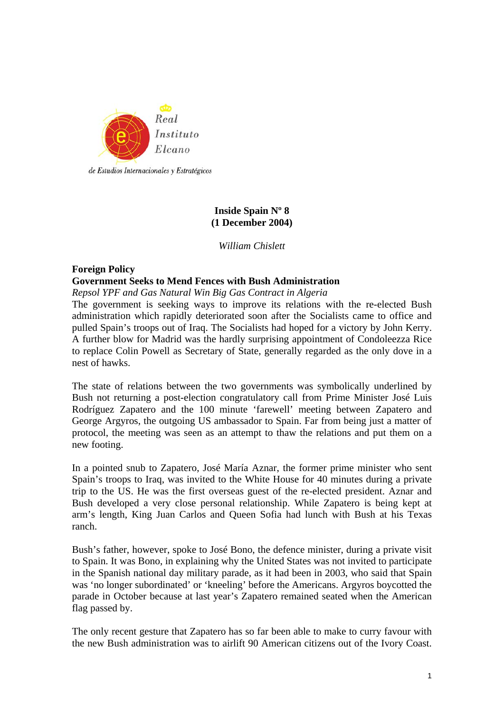

de Estudios Internacionales y Estratégicos

# **Inside Spain Nº 8 (1 December 2004)**

*William Chislett* 

# **Foreign Policy**

# **Government Seeks to Mend Fences with Bush Administration**

*Repsol YPF and Gas Natural Win Big Gas Contract in Algeria*

The government is seeking ways to improve its relations with the re-elected Bush administration which rapidly deteriorated soon after the Socialists came to office and pulled Spain's troops out of Iraq. The Socialists had hoped for a victory by John Kerry. A further blow for Madrid was the hardly surprising appointment of Condoleezza Rice to replace Colin Powell as Secretary of State, generally regarded as the only dove in a nest of hawks.

The state of relations between the two governments was symbolically underlined by Bush not returning a post-election congratulatory call from Prime Minister José Luis Rodríguez Zapatero and the 100 minute 'farewell' meeting between Zapatero and George Argyros, the outgoing US ambassador to Spain. Far from being just a matter of protocol, the meeting was seen as an attempt to thaw the relations and put them on a new footing.

In a pointed snub to Zapatero, José María Aznar, the former prime minister who sent Spain's troops to Iraq, was invited to the White House for 40 minutes during a private trip to the US. He was the first overseas guest of the re-elected president. Aznar and Bush developed a very close personal relationship. While Zapatero is being kept at arm's length, King Juan Carlos and Queen Sofia had lunch with Bush at his Texas ranch.

Bush's father, however, spoke to José Bono, the defence minister, during a private visit to Spain. It was Bono, in explaining why the United States was not invited to participate in the Spanish national day military parade, as it had been in 2003, who said that Spain was 'no longer subordinated' or 'kneeling' before the Americans. Argyros boycotted the parade in October because at last year's Zapatero remained seated when the American flag passed by.

The only recent gesture that Zapatero has so far been able to make to curry favour with the new Bush administration was to airlift 90 American citizens out of the Ivory Coast.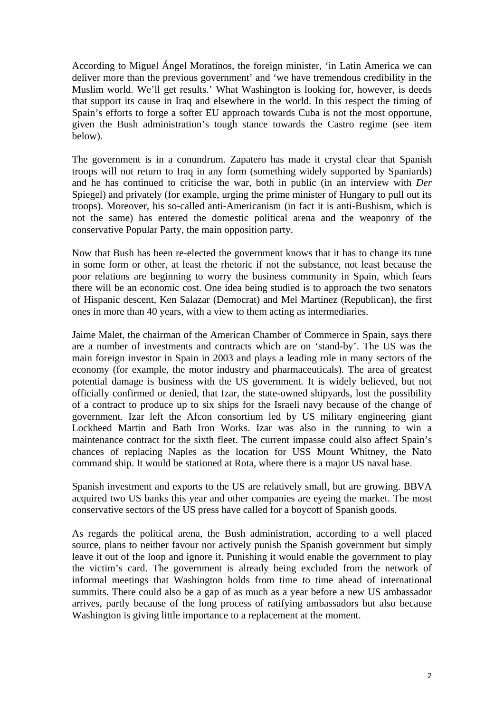According to Miguel Ángel Moratinos, the foreign minister, 'in Latin America we can deliver more than the previous government' and 'we have tremendous credibility in the Muslim world. We'll get results.' What Washington is looking for, however, is deeds that support its cause in Iraq and elsewhere in the world. In this respect the timing of Spain's efforts to forge a softer EU approach towards Cuba is not the most opportune, given the Bush administration's tough stance towards the Castro regime (see item below).

The government is in a conundrum. Zapatero has made it crystal clear that Spanish troops will not return to Iraq in any form (something widely supported by Spaniards) and he has continued to criticise the war, both in public (in an interview with *Der*  Spiegel) and privately (for example, urging the prime minister of Hungary to pull out its troops). Moreover, his so-called anti-Americanism (in fact it is anti-Bushism, which is not the same) has entered the domestic political arena and the weaponry of the conservative Popular Party, the main opposition party.

Now that Bush has been re-elected the government knows that it has to change its tune in some form or other, at least the rhetoric if not the substance, not least because the poor relations are beginning to worry the business community in Spain, which fears there will be an economic cost. One idea being studied is to approach the two senators of Hispanic descent, Ken Salazar (Democrat) and Mel Martínez (Republican), the first ones in more than 40 years, with a view to them acting as intermediaries.

Jaime Malet, the chairman of the American Chamber of Commerce in Spain, says there are a number of investments and contracts which are on 'stand-by'. The US was the main foreign investor in Spain in 2003 and plays a leading role in many sectors of the economy (for example, the motor industry and pharmaceuticals). The area of greatest potential damage is business with the US government. It is widely believed, but not officially confirmed or denied, that Izar, the state-owned shipyards, lost the possibility of a contract to produce up to six ships for the Israeli navy because of the change of government. Izar left the Afcon consortium led by US military engineering giant Lockheed Martin and Bath Iron Works. Izar was also in the running to win a maintenance contract for the sixth fleet. The current impasse could also affect Spain's chances of replacing Naples as the location for USS Mount Whitney, the Nato command ship. It would be stationed at Rota, where there is a major US naval base.

Spanish investment and exports to the US are relatively small, but are growing. BBVA acquired two US banks this year and other companies are eyeing the market. The most conservative sectors of the US press have called for a boycott of Spanish goods.

As regards the political arena, the Bush administration, according to a well placed source, plans to neither favour nor actively punish the Spanish government but simply leave it out of the loop and ignore it. Punishing it would enable the government to play the victim's card. The government is already being excluded from the network of informal meetings that Washington holds from time to time ahead of international summits. There could also be a gap of as much as a year before a new US ambassador arrives, partly because of the long process of ratifying ambassadors but also because Washington is giving little importance to a replacement at the moment.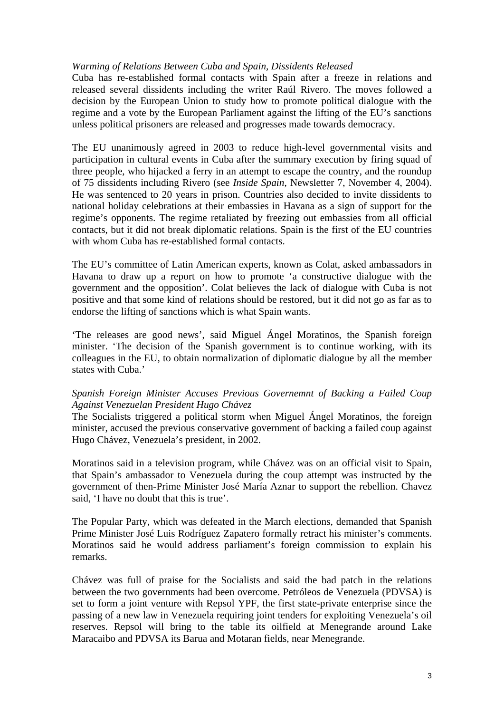## *Warming of Relations Between Cuba and Spain, Dissidents Released*

Cuba has re-established formal contacts with Spain after a freeze in relations and released several dissidents including the writer Raúl Rivero. The moves followed a decision by the European Union to study how to promote political dialogue with the regime and a vote by the European Parliament against the lifting of the EU's sanctions unless political prisoners are released and progresses made towards democracy.

The EU unanimously agreed in 2003 to reduce high-level governmental visits and participation in cultural events in Cuba after the summary execution by firing squad of three people, who hijacked a ferry in an attempt to escape the country, and the roundup of 75 dissidents including Rivero (see *Inside Spain*, Newsletter 7, November 4, 2004). He was sentenced to 20 years in prison. Countries also decided to invite dissidents to national holiday celebrations at their embassies in Havana as a sign of support for the regime's opponents. The regime retaliated by freezing out embassies from all official contacts, but it did not break diplomatic relations. Spain is the first of the EU countries with whom Cuba has re-established formal contacts.

The EU's committee of Latin American experts, known as Colat, asked ambassadors in Havana to draw up a report on how to promote 'a constructive dialogue with the government and the opposition'. Colat believes the lack of dialogue with Cuba is not positive and that some kind of relations should be restored, but it did not go as far as to endorse the lifting of sanctions which is what Spain wants.

'The releases are good news', said Miguel Ángel Moratinos, the Spanish foreign minister. 'The decision of the Spanish government is to continue working, with its colleagues in the EU, to obtain normalization of diplomatic dialogue by all the member states with Cuba.'

# *Spanish Foreign Minister Accuses Previous Governemnt of Backing a Failed Coup Against Venezuelan President Hugo Chávez*

The Socialists triggered a political storm when Miguel Ángel Moratinos, the foreign minister, accused the previous conservative government of backing a failed coup against Hugo Chávez, Venezuela's president, in 2002.

Moratinos said in a television program, while Chávez was on an official visit to Spain, that Spain's ambassador to Venezuela during the coup attempt was instructed by the government of then-Prime Minister José María Aznar to support the rebellion. Chavez said, 'I have no doubt that this is true'.

The Popular Party, which was defeated in the March elections, demanded that Spanish Prime Minister José Luis Rodríguez Zapatero formally retract his minister's comments. Moratinos said he would address parliament's foreign commission to explain his remarks.

Chávez was full of praise for the Socialists and said the bad patch in the relations between the two governments had been overcome. Petróleos de Venezuela (PDVSA) is set to form a joint venture with Repsol YPF, the first state-private enterprise since the passing of a new law in Venezuela requiring joint tenders for exploiting Venezuela's oil reserves. Repsol will bring to the table its oilfield at Menegrande around Lake Maracaibo and PDVSA its Barua and Motaran fields, near Menegrande.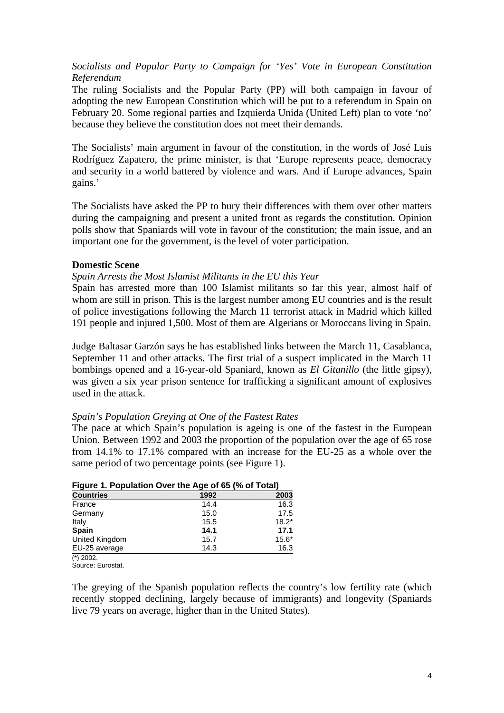*Socialists and Popular Party to Campaign for 'Yes' Vote in European Constitution Referendum* 

The ruling Socialists and the Popular Party (PP) will both campaign in favour of adopting the new European Constitution which will be put to a referendum in Spain on February 20. Some regional parties and Izquierda Unida (United Left) plan to vote 'no' because they believe the constitution does not meet their demands.

The Socialists' main argument in favour of the constitution, in the words of José Luis Rodríguez Zapatero, the prime minister, is that 'Europe represents peace, democracy and security in a world battered by violence and wars. And if Europe advances, Spain gains.'

The Socialists have asked the PP to bury their differences with them over other matters during the campaigning and present a united front as regards the constitution. Opinion polls show that Spaniards will vote in favour of the constitution; the main issue, and an important one for the government, is the level of voter participation.

# **Domestic Scene**

### *Spain Arrests the Most Islamist Militants in the EU this Year*

Spain has arrested more than 100 Islamist militants so far this year, almost half of whom are still in prison. This is the largest number among EU countries and is the result of police investigations following the March 11 terrorist attack in Madrid which killed 191 people and injured 1,500. Most of them are Algerians or Moroccans living in Spain.

Judge Baltasar Garzón says he has established links between the March 11, Casablanca, September 11 and other attacks. The first trial of a suspect implicated in the March 11 bombings opened and a 16-year-old Spaniard, known as *El Gitanillo* (the little gipsy), was given a six year prison sentence for trafficking a significant amount of explosives used in the attack.

### *Spain's Population Greying at One of the Fastest Rates*

The pace at which Spain's population is ageing is one of the fastest in the European Union. Between 1992 and 2003 the proportion of the population over the age of 65 rose from 14.1% to 17.1% compared with an increase for the EU-25 as a whole over the same period of two percentage points (see Figure 1).

| Figure 1. Population Over the Age of 65 (% of Total) |      |         |
|------------------------------------------------------|------|---------|
| <b>Countries</b>                                     | 1992 | 2003    |
| France                                               | 14.4 | 16.3    |
| Germany                                              | 15.0 | 17.5    |
| Italy                                                | 15.5 | $18.2*$ |
| <b>Spain</b>                                         | 14.1 | 17.1    |
| United Kingdom                                       | 15.7 | $15.6*$ |
| EU-25 average                                        | 14.3 | 16.3    |

# **Figure 1. Population Over the Age of 65 (% of Total)**

(\*) 2002.

Source: Eurostat.

The greying of the Spanish population reflects the country's low fertility rate (which recently stopped declining, largely because of immigrants) and longevity (Spaniards live 79 years on average, higher than in the United States).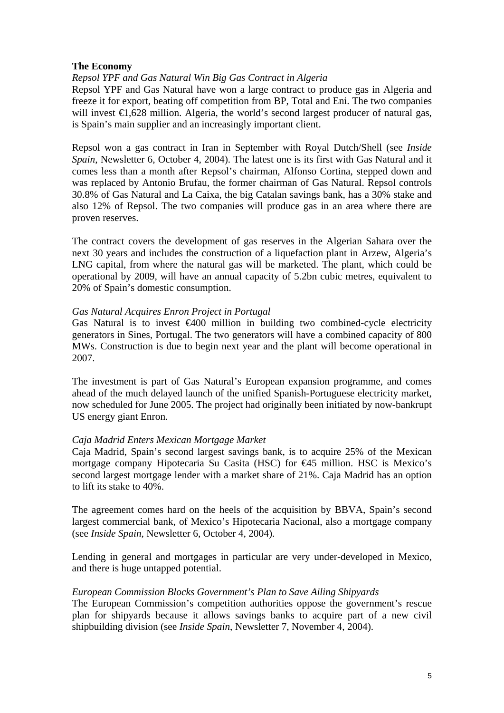## **The Economy**

# *Repsol YPF and Gas Natural Win Big Gas Contract in Algeria*

Repsol YPF and Gas Natural have won a large contract to produce gas in Algeria and freeze it for export, beating off competition from BP, Total and Eni. The two companies will invest  $\epsilon$ 1,628 million. Algeria, the world's second largest producer of natural gas, is Spain's main supplier and an increasingly important client.

Repsol won a gas contract in Iran in September with Royal Dutch/Shell (see *Inside Spain*, Newsletter 6, October 4, 2004). The latest one is its first with Gas Natural and it comes less than a month after Repsol's chairman, Alfonso Cortina, stepped down and was replaced by Antonio Brufau, the former chairman of Gas Natural. Repsol controls 30.8% of Gas Natural and La Caixa, the big Catalan savings bank, has a 30% stake and also 12% of Repsol. The two companies will produce gas in an area where there are proven reserves.

The contract covers the development of gas reserves in the Algerian Sahara over the next 30 years and includes the construction of a liquefaction plant in Arzew, Algeria's LNG capital, from where the natural gas will be marketed. The plant, which could be operational by 2009, will have an annual capacity of 5.2bn cubic metres, equivalent to 20% of Spain's domestic consumption.

### *Gas Natural Acquires Enron Project in Portugal*

Gas Natural is to invest  $\epsilon 400$  million in building two combined-cycle electricity generators in Sines, Portugal. The two generators will have a combined capacity of 800 MWs. Construction is due to begin next year and the plant will become operational in 2007.

The investment is part of Gas Natural's European expansion programme, and comes ahead of the much delayed launch of the unified Spanish-Portuguese electricity market, now scheduled for June 2005. The project had originally been initiated by now-bankrupt US energy giant Enron.

### *Caja Madrid Enters Mexican Mortgage Market*

Caja Madrid, Spain's second largest savings bank, is to acquire 25% of the Mexican mortgage company Hipotecaria Su Casita (HSC) for €45 million. HSC is Mexico's second largest mortgage lender with a market share of 21%. Caja Madrid has an option to lift its stake to 40%.

The agreement comes hard on the heels of the acquisition by BBVA, Spain's second largest commercial bank, of Mexico's Hipotecaria Nacional, also a mortgage company (see *Inside Spain*, Newsletter 6, October 4, 2004).

Lending in general and mortgages in particular are very under-developed in Mexico, and there is huge untapped potential.

### *European Commission Blocks Government's Plan to Save Ailing Shipyards*

The European Commission's competition authorities oppose the government's rescue plan for shipyards because it allows savings banks to acquire part of a new civil shipbuilding division (see *Inside Spain*, Newsletter 7, November 4, 2004).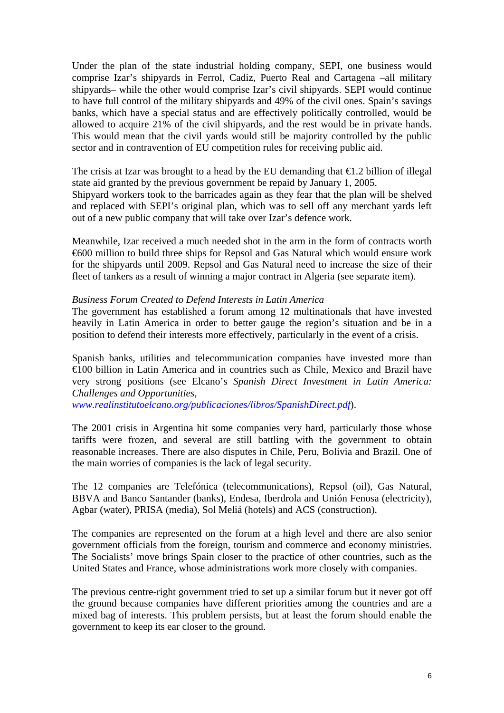Under the plan of the state industrial holding company, SEPI, one business would comprise Izar's shipyards in Ferrol, Cadiz, Puerto Real and Cartagena –all military shipyards– while the other would comprise Izar's civil shipyards. SEPI would continue to have full control of the military shipyards and 49% of the civil ones. Spain's savings banks, which have a special status and are effectively politically controlled, would be allowed to acquire 21% of the civil shipyards, and the rest would be in private hands. This would mean that the civil yards would still be majority controlled by the public sector and in contravention of EU competition rules for receiving public aid.

The crisis at Izar was brought to a head by the EU demanding that  $\epsilon$ 1.2 billion of illegal state aid granted by the previous government be repaid by January 1, 2005.

Shipyard workers took to the barricades again as they fear that the plan will be shelved and replaced with SEPI's original plan, which was to sell off any merchant yards left out of a new public company that will take over Izar's defence work.

Meanwhile, Izar received a much needed shot in the arm in the form of contracts worth €600 million to build three ships for Repsol and Gas Natural which would ensure work for the shipyards until 2009. Repsol and Gas Natural need to increase the size of their fleet of tankers as a result of winning a major contract in Algeria (see separate item).

#### *Business Forum Created to Defend Interests in Latin America*

The government has established a forum among 12 multinationals that have invested heavily in Latin America in order to better gauge the region's situation and be in a position to defend their interests more effectively, particularly in the event of a crisis.

Spanish banks, utilities and telecommunication companies have invested more than €100 billion in Latin America and in countries such as Chile, Mexico and Brazil have very strong positions (see Elcano's *Spanish Direct Investment in Latin America: Challenges and Opportunities*,

*[www.realinstitutoelcano.org/publicaciones/libros/SpanishDirect.pdf](http://www.realinstitutoelcano.org/publicaciones/libros/SpanishDirect.pdf)*).

The 2001 crisis in Argentina hit some companies very hard, particularly those whose tariffs were frozen, and several are still battling with the government to obtain reasonable increases. There are also disputes in Chile, Peru, Bolivia and Brazil. One of the main worries of companies is the lack of legal security.

The 12 companies are Telefónica (telecommunications), Repsol (oil), Gas Natural, BBVA and Banco Santander (banks), Endesa, Iberdrola and Unión Fenosa (electricity), Agbar (water), PRISA (media), Sol Meliá (hotels) and ACS (construction).

The companies are represented on the forum at a high level and there are also senior government officials from the foreign, tourism and commerce and economy ministries. The Socialists' move brings Spain closer to the practice of other countries, such as the United States and France, whose administrations work more closely with companies.

The previous centre-right government tried to set up a similar forum but it never got off the ground because companies have different priorities among the countries and are a mixed bag of interests. This problem persists, but at least the forum should enable the government to keep its ear closer to the ground.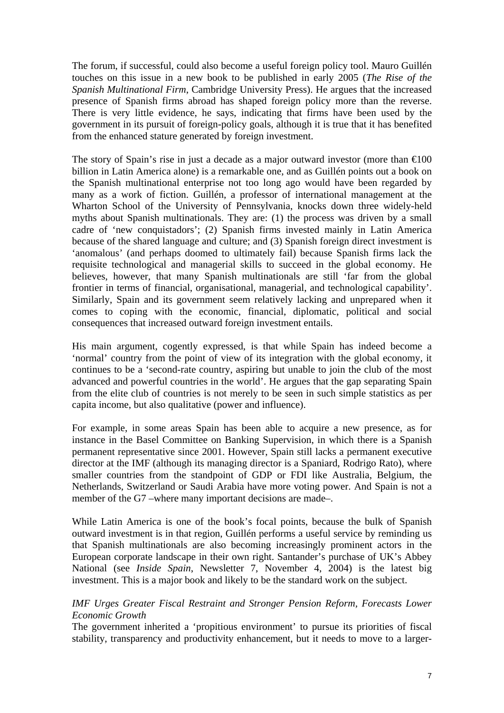The forum, if successful, could also become a useful foreign policy tool. Mauro Guillén touches on this issue in a new book to be published in early 2005 (*The Rise of the Spanish Multinational Firm*, Cambridge University Press). He argues that the increased presence of Spanish firms abroad has shaped foreign policy more than the reverse. There is very little evidence, he says, indicating that firms have been used by the government in its pursuit of foreign-policy goals, although it is true that it has benefited from the enhanced stature generated by foreign investment.

The story of Spain's rise in just a decade as a major outward investor (more than  $\epsilon 0$ ) billion in Latin America alone) is a remarkable one, and as Guillén points out a book on the Spanish multinational enterprise not too long ago would have been regarded by many as a work of fiction. Guillén, a professor of international management at the Wharton School of the University of Pennsylvania, knocks down three widely-held myths about Spanish multinationals. They are: (1) the process was driven by a small cadre of 'new conquistadors'; (2) Spanish firms invested mainly in Latin America because of the shared language and culture; and (3) Spanish foreign direct investment is 'anomalous' (and perhaps doomed to ultimately fail) because Spanish firms lack the requisite technological and managerial skills to succeed in the global economy. He believes, however, that many Spanish multinationals are still 'far from the global frontier in terms of financial, organisational, managerial, and technological capability'. Similarly, Spain and its government seem relatively lacking and unprepared when it comes to coping with the economic, financial, diplomatic, political and social consequences that increased outward foreign investment entails.

His main argument, cogently expressed, is that while Spain has indeed become a 'normal' country from the point of view of its integration with the global economy, it continues to be a 'second-rate country, aspiring but unable to join the club of the most advanced and powerful countries in the world'. He argues that the gap separating Spain from the elite club of countries is not merely to be seen in such simple statistics as per capita income, but also qualitative (power and influence).

For example, in some areas Spain has been able to acquire a new presence, as for instance in the Basel Committee on Banking Supervision, in which there is a Spanish permanent representative since 2001. However, Spain still lacks a permanent executive director at the IMF (although its managing director is a Spaniard, Rodrigo Rato), where smaller countries from the standpoint of GDP or FDI like Australia, Belgium, the Netherlands, Switzerland or Saudi Arabia have more voting power. And Spain is not a member of the G7 –where many important decisions are made–.

While Latin America is one of the book's focal points, because the bulk of Spanish outward investment is in that region, Guillén performs a useful service by reminding us that Spanish multinationals are also becoming increasingly prominent actors in the European corporate landscape in their own right. Santander's purchase of UK's Abbey National (see *Inside Spain*, Newsletter 7, November 4, 2004) is the latest big investment. This is a major book and likely to be the standard work on the subject.

# *IMF Urges Greater Fiscal Restraint and Stronger Pension Reform, Forecasts Lower Economic Growth*

The government inherited a 'propitious environment' to pursue its priorities of fiscal stability, transparency and productivity enhancement, but it needs to move to a larger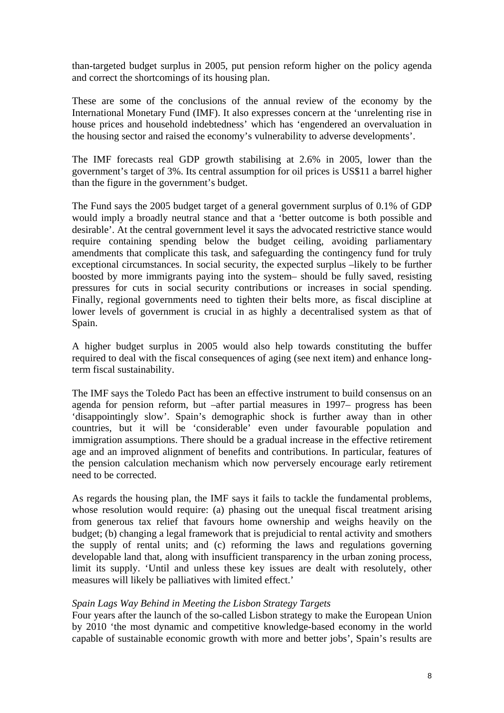than-targeted budget surplus in 2005, put pension reform higher on the policy agenda and correct the shortcomings of its housing plan.

These are some of the conclusions of the annual review of the economy by the International Monetary Fund (IMF). It also expresses concern at the 'unrelenting rise in house prices and household indebtedness' which has 'engendered an overvaluation in the housing sector and raised the economy's vulnerability to adverse developments'.

The IMF forecasts real GDP growth stabilising at 2.6% in 2005, lower than the government's target of 3%. Its central assumption for oil prices is US\$11 a barrel higher than the figure in the government's budget.

The Fund says the 2005 budget target of a general government surplus of 0.1% of GDP would imply a broadly neutral stance and that a 'better outcome is both possible and desirable'. At the central government level it says the advocated restrictive stance would require containing spending below the budget ceiling, avoiding parliamentary amendments that complicate this task, and safeguarding the contingency fund for truly exceptional circumstances. In social security, the expected surplus –likely to be further boosted by more immigrants paying into the system– should be fully saved, resisting pressures for cuts in social security contributions or increases in social spending. Finally, regional governments need to tighten their belts more, as fiscal discipline at lower levels of government is crucial in as highly a decentralised system as that of Spain.

A higher budget surplus in 2005 would also help towards constituting the buffer required to deal with the fiscal consequences of aging (see next item) and enhance longterm fiscal sustainability.

The IMF says the Toledo Pact has been an effective instrument to build consensus on an agenda for pension reform, but –after partial measures in 1997– progress has been 'disappointingly slow'. Spain's demographic shock is further away than in other countries, but it will be 'considerable' even under favourable population and immigration assumptions. There should be a gradual increase in the effective retirement age and an improved alignment of benefits and contributions. In particular, features of the pension calculation mechanism which now perversely encourage early retirement need to be corrected.

As regards the housing plan, the IMF says it fails to tackle the fundamental problems, whose resolution would require: (a) phasing out the unequal fiscal treatment arising from generous tax relief that favours home ownership and weighs heavily on the budget; (b) changing a legal framework that is prejudicial to rental activity and smothers the supply of rental units; and (c) reforming the laws and regulations governing developable land that, along with insufficient transparency in the urban zoning process, limit its supply. 'Until and unless these key issues are dealt with resolutely, other measures will likely be palliatives with limited effect.'

# *Spain Lags Way Behind in Meeting the Lisbon Strategy Targets*

Four years after the launch of the so-called Lisbon strategy to make the European Union by 2010 'the most dynamic and competitive knowledge-based economy in the world capable of sustainable economic growth with more and better jobs', Spain's results are